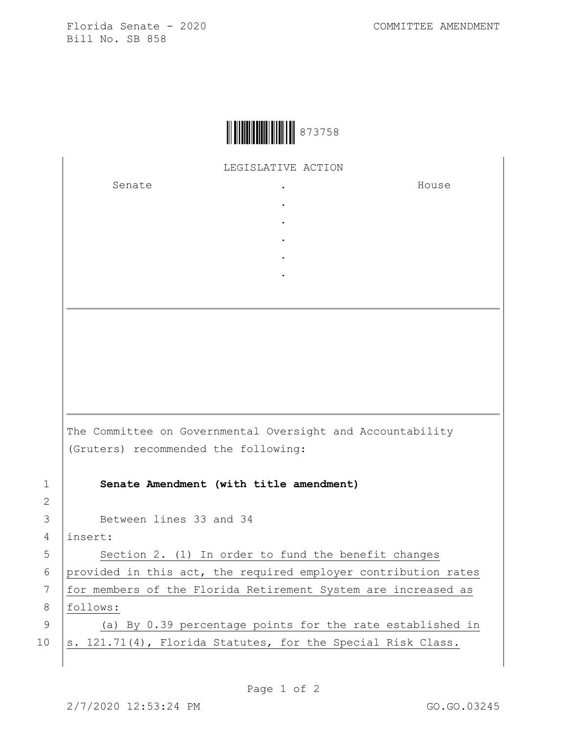Florida Senate - 2020 COMMITTEE AMENDMENT Bill No. SB 858



LEGISLATIVE ACTION

. . . . .

Senate .

House

The Committee on Governmental Oversight and Accountability (Gruters) recommended the following: 1 **Senate Amendment (with title amendment)** 3 Between lines 33 and 34

4 insert:

5 | Section 2. (1) In order to fund the benefit changes 6 provided in this act, the required employer contribution rates 7 | for members of the Florida Retirement System are increased as 8 follows: 9 (a) By 0.39 percentage points for the rate established in

10  $\vert$  s. 121.71(4), Florida Statutes, for the Special Risk Class.

2